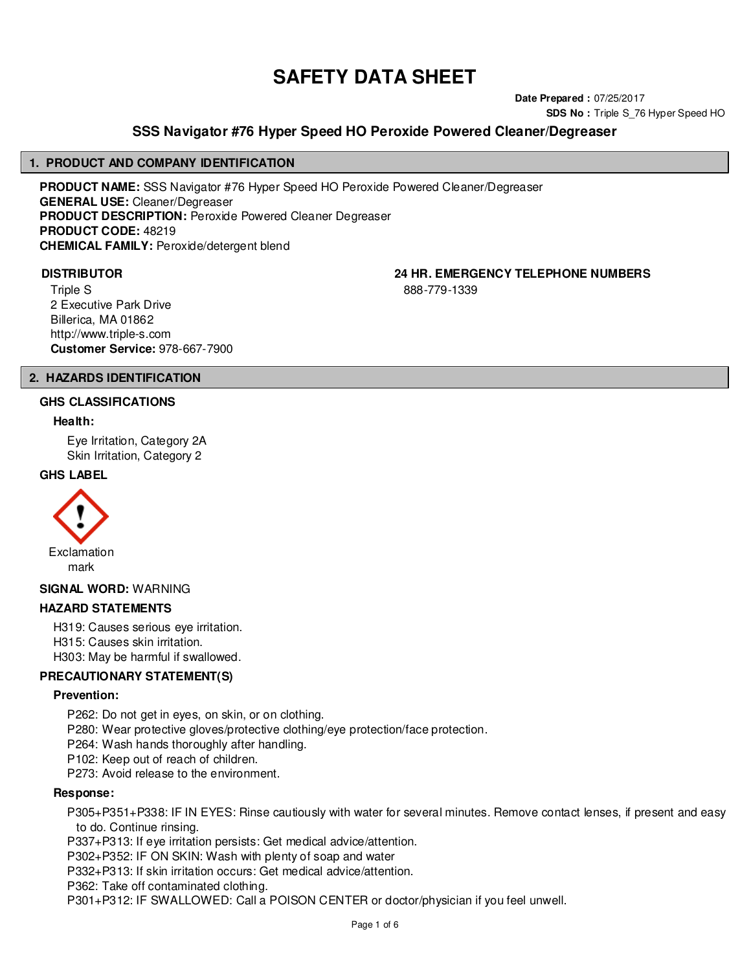# **SAFETY DATA SHEET**

**Date Prepared :** 07/25/2017 **SDS No :** Triple S\_76 Hyper Speed HO

# **SSS Navigator #76 Hyper Speed HO Peroxide Powered Cleaner/Degreaser**

#### **1. PRODUCT AND COMPANY IDENTIFICATION**

**PRODUCT NAME:** SSS Navigator #76 Hyper Speed HO Peroxide Powered Cleaner/Degreaser **GENERAL USE:** Cleaner/Degreaser **PRODUCT DESCRIPTION:** Peroxide Powered Cleaner Degreaser **PRODUCT CODE:** 48219 **CHEMICAL FAMILY:** Peroxide/detergent blend

**DISTRIBUTOR 24 HR. EMERGENCY TELEPHONE NUMBERS**

Triple S 2 Executive Park Drive Billerica, MA 01862 http://www.triple-s.com **Customer Service:** 978-667-7900 888-779-1339

# **2. HAZARDS IDENTIFICATION**

#### **GHS CLASSIFICATIONS**

#### **Health:**

Eye Irritation, Category 2A Skin Irritation, Category 2

#### **GHS LABEL**



**SIGNAL WORD:** WARNING

#### **HAZARD STATEMENTS**

H319: Causes serious eye irritation. H315: Causes skin irritation. H303: May be harmful if swallowed.

#### **PRECAUTIONARY STATEMENT(S)**

#### **Prevention:**

- P262: Do not get in eyes, on skin, or on clothing.
- P280: Wear protective gloves/protective clothing/eye protection/face protection.
- P264: Wash hands thoroughly after handling.
- P102: Keep out of reach of children.

P273: Avoid release to the environment.

#### **Response:**

P305+P351+P338: IF IN EYES: Rinse cautiously with water for several minutes. Remove contact lenses, if present and easy to do. Continue rinsing.

P337+P313: If eye irritation persists: Get medical advice/attention.

P302+P352: IF ON SKIN: Wash with plenty of soap and water

P332+P313: If skin irritation occurs: Get medical advice/attention.

P362: Take off contaminated clothing.

P301+P312: IF SWALLOWED: Call a POISON CENTER or doctor/physician if you feel unwell.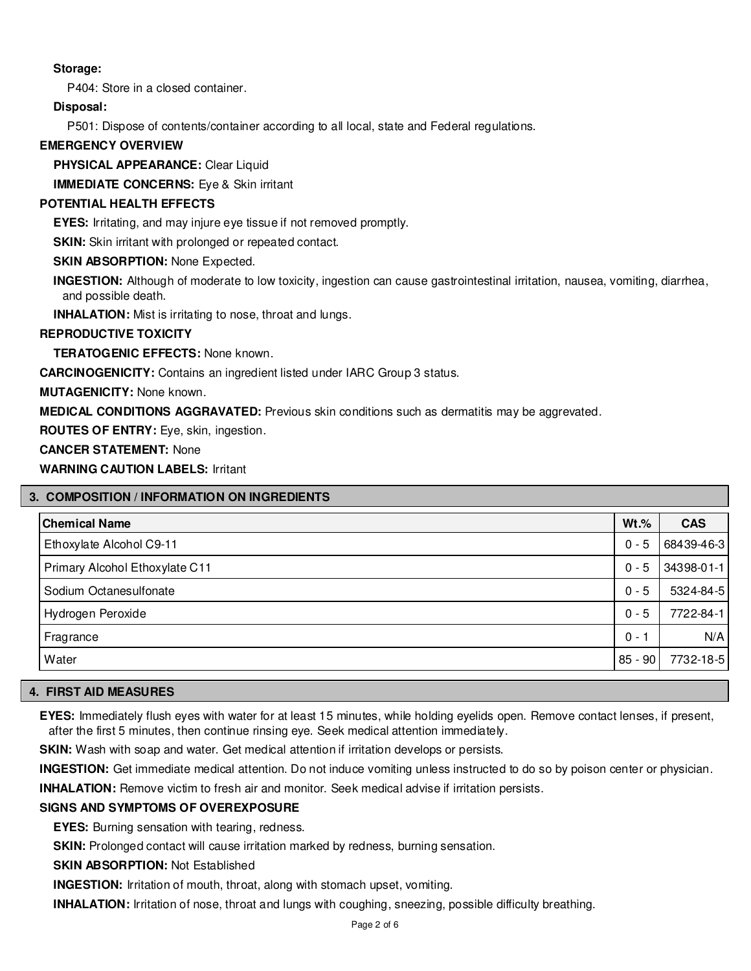# **Storage:**

P404: Store in a closed container.

# **Disposal:**

P501: Dispose of contents/container according to all local, state and Federal regulations.

# **EMERGENCY OVERVIEW**

**PHYSICAL APPEARANCE:** Clear Liquid

**IMMEDIATE CONCERNS:** Eye & Skin irritant

# **POTENTIAL HEALTH EFFECTS**

**EYES:** Irritating, and may injure eye tissue if not removed promptly.

**SKIN:** Skin irritant with prolonged or repeated contact.

**SKIN ABSORPTION: None Expected.** 

**INGESTION:** Although of moderate to low toxicity, ingestion can cause gastrointestinal irritation, nausea, vomiting, diarrhea, and possible death.

**INHALATION:** Mist is irritating to nose, throat and lungs.

# **REPRODUCTIVE TOXICITY**

**TERATOGENIC EFFECTS:** None known.

**CARCINOGENICITY:** Contains an ingredient listed under IARC Group 3 status.

**MUTAGENICITY:** None known.

**MEDICAL CONDITIONS AGGRAVATED:** Previous skin conditions such as dermatitis may be aggrevated.

**ROUTES OF ENTRY:** Eye, skin, ingestion.

**CANCER STATEMENT:** None

**WARNING CAUTION LABELS:** Irritant

| 3. COMPOSITION / INFORMATION ON INGREDIENTS |           |            |  |  |
|---------------------------------------------|-----------|------------|--|--|
| <b>Chemical Name</b>                        | $Wt.\%$   | <b>CAS</b> |  |  |
| Ethoxylate Alcohol C9-11                    | $0 - 5$   | 68439-46-3 |  |  |
| Primary Alcohol Ethoxylate C11              | $0 - 5$   | 34398-01-1 |  |  |
| Sodium Octanesulfonate                      | $0 - 5$   | 5324-84-5  |  |  |
| Hydrogen Peroxide                           | $0 - 5$   | 7722-84-1  |  |  |
| Fragrance                                   | $0 -$     | N/A        |  |  |
| Water                                       | $85 - 90$ | 7732-18-5  |  |  |

# **4. FIRST AID MEASURES**

**EYES:** Immediately flush eyes with water for at least 15 minutes, while holding eyelids open. Remove contact lenses, if present, after the first 5 minutes, then continue rinsing eye. Seek medical attention immediately.

**SKIN:** Wash with soap and water. Get medical attention if irritation develops or persists.

**INGESTION:** Get immediate medical attention. Do not induce vomiting unless instructed to do so by poison center or physician.

**INHALATION:** Remove victim to fresh air and monitor. Seek medical advise if irritation persists.

# **SIGNS AND SYMPTOMS OF OVEREXPOSURE**

**EYES:** Burning sensation with tearing, redness.

**SKIN:** Prolonged contact will cause irritation marked by redness, burning sensation.

**SKIN ABSORPTION:** Not Established

**INGESTION:** Irritation of mouth, throat, along with stomach upset, vomiting.

**INHALATION:** Irritation of nose, throat and lungs with coughing, sneezing, possible difficulty breathing.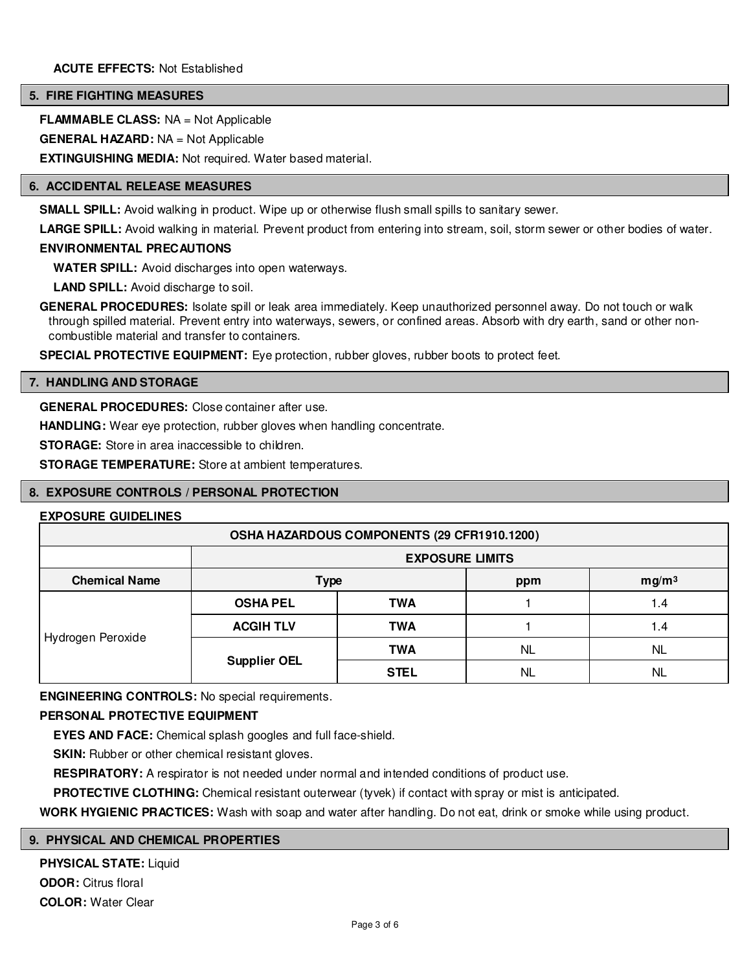#### **5. FIRE FIGHTING MEASURES**

**FLAMMABLE CLASS:** NA = Not Applicable

**GENERAL HAZARD:** NA = Not Applicable

**EXTINGUISHING MEDIA:** Not required. Water based material.

#### **6. ACCIDENTAL RELEASE MEASURES**

**SMALL SPILL:** Avoid walking in product. Wipe up or otherwise flush small spills to sanitary sewer.

**LARGE SPILL:** Avoid walking in material. Prevent product from entering into stream, soil, storm sewer or other bodies of water.

## **ENVIRONMENTAL PRECAUTIONS**

**WATER SPILL:** Avoid discharges into open waterways.

**LAND SPILL:** Avoid discharge to soil.

**GENERAL PROCEDURES:** Isolate spill or leak area immediately. Keep unauthorized personnel away. Do not touch or walk through spilled material. Prevent entry into waterways, sewers, or confined areas. Absorb with dry earth, sand or other noncombustible material and transfer to containers.

**SPECIAL PROTECTIVE EQUIPMENT:** Eye protection, rubber gloves, rubber boots to protect feet.

#### **7. HANDLING AND STORAGE**

**GENERAL PROCEDURES:** Close container after use.

**HANDLING:** Wear eye protection, rubber gloves when handling concentrate.

**STORAGE:** Store in area inaccessible to children.

**STORAGE TEMPERATURE:** Store at ambient temperatures.

#### **8. EXPOSURE CONTROLS / PERSONAL PROTECTION**

#### **EXPOSURE GUIDELINES**

| OSHA HAZARDOUS COMPONENTS (29 CFR1910.1200) |                        |             |     |                   |
|---------------------------------------------|------------------------|-------------|-----|-------------------|
|                                             | <b>EXPOSURE LIMITS</b> |             |     |                   |
| <b>Chemical Name</b>                        | <b>Type</b>            |             | ppm | mg/m <sup>3</sup> |
| Hydrogen Peroxide                           | <b>OSHA PEL</b>        | <b>TWA</b>  |     | 1.4               |
|                                             | <b>ACGIH TLV</b>       | <b>TWA</b>  |     | 1.4               |
|                                             |                        | <b>TWA</b>  | NL  | <b>NL</b>         |
|                                             | <b>Supplier OEL</b>    | <b>STEL</b> | NL  | ΝL                |

**ENGINEERING CONTROLS:** No special requirements.

# **PERSONAL PROTECTIVE EQUIPMENT**

**EYES AND FACE:** Chemical splash googles and full face-shield.

**SKIN:** Rubber or other chemical resistant gloves.

**RESPIRATORY:** A respirator is not needed under normal and intended conditions of product use.

**PROTECTIVE CLOTHING:** Chemical resistant outerwear (tyvek) if contact with spray or mist is anticipated.

**WORK HYGIENIC PRACTICES:** Wash with soap and water after handling. Do not eat, drink or smoke while using product.

#### **9. PHYSICAL AND CHEMICAL PROPERTIES**

**PHYSICAL STATE:** Liquid **ODOR:** Citrus floral **COLOR:** Water Clear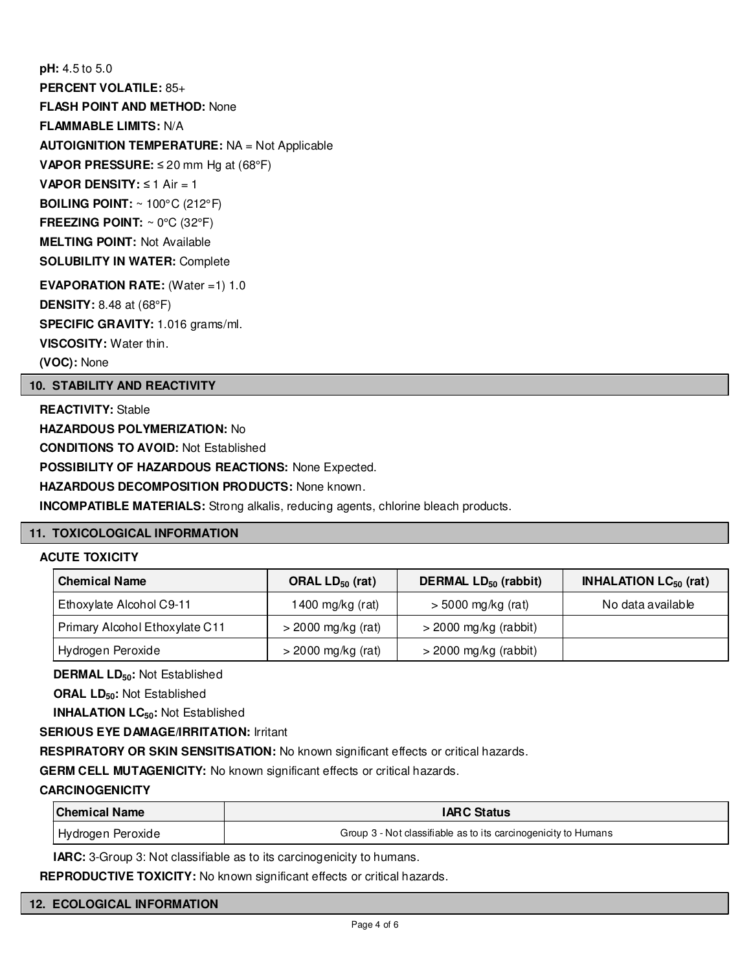**pH:** 4.5 to 5.0 **PERCENT VOLATILE:** 85+ **FLASH POINT AND METHOD:** None **FLAMMABLE LIMITS:** N/A **AUTOIGNITION TEMPERATURE:** NA = Not Applicable **VAPOR PRESSURE:** ≤ 20 mm Hg at (68°F) **VAPOR DENSITY:** ≤ 1 Air = 1 **BOILING POINT:** ~ 100°C (212°F) **FREEZING POINT:** ~ 0°C (32°F) **MELTING POINT:** Not Available **SOLUBILITY IN WATER:** Complete **EVAPORATION RATE:** (Water =1) 1.0 **DENSITY:** 8.48 at (68°F)

**SPECIFIC GRAVITY:** 1.016 grams/ml.

**VISCOSITY:** Water thin.

**(VOC):** None

# **10. STABILITY AND REACTIVITY**

**REACTIVITY:** Stable **HAZARDOUS POLYMERIZATION:** No **CONDITIONS TO AVOID:** Not Established **POSSIBILITY OF HAZARDOUS REACTIONS:** None Expected. **HAZARDOUS DECOMPOSITION PRODUCTS:** None known. **INCOMPATIBLE MATERIALS:** Strong alkalis, reducing agents, chlorine bleach products.

# **11. TOXICOLOGICAL INFORMATION**

# **ACUTE TOXICITY**

| <b>Chemical Name</b>           | ORAL $LD_{50}$ (rat) | DERMAL $LD_{50}$ (rabbit) | <b>INHALATION LC<math>_{50}</math> (rat)</b> |
|--------------------------------|----------------------|---------------------------|----------------------------------------------|
| Ethoxylate Alcohol C9-11       | 1400 mg/kg (rat)     | $>$ 5000 mg/kg (rat)      | No data available                            |
| Primary Alcohol Ethoxylate C11 | $>$ 2000 mg/kg (rat) | $>$ 2000 mg/kg (rabbit)   |                                              |
| Hydrogen Peroxide              | $>$ 2000 mg/kg (rat) | $>$ 2000 mg/kg (rabbit)   |                                              |

**DERMAL LD50:** Not Established

**ORAL LD50:** Not Established

**INHALATION LC50:** Not Established

# **SERIOUS EYE DAMAGE/IRRITATION:** Irritant

**RESPIRATORY OR SKIN SENSITISATION:** No known significant effects or critical hazards.

**GERM CELL MUTAGENICITY:** No known significant effects or critical hazards.

# **CARCINOGENICITY**

| <b>Chemical Name</b>           | <b>IARC Status</b>                                             |
|--------------------------------|----------------------------------------------------------------|
| <sub>l</sub> Hydrogen Peroxide | Group 3 - Not classifiable as to its carcinogenicity to Humans |

**IARC:** 3-Group 3: Not classifiable as to its carcinogenicity to humans.

**REPRODUCTIVE TOXICITY:** No known significant effects or critical hazards.

# **12. ECOLOGICAL INFORMATION**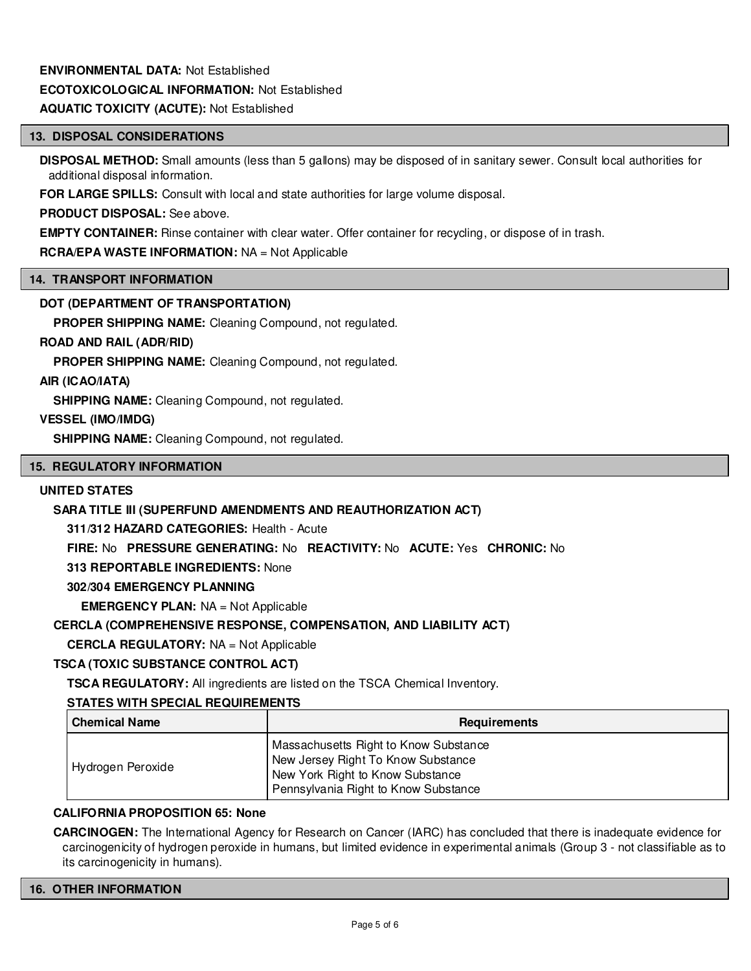# **ENVIRONMENTAL DATA:** Not Established **ECOTOXICOLOGICAL INFORMATION:** Not Established

# **AQUATIC TOXICITY (ACUTE):** Not Established

# **13. DISPOSAL CONSIDERATIONS**

**DISPOSAL METHOD:** Small amounts (less than 5 gallons) may be disposed of in sanitary sewer. Consult local authorities for additional disposal information.

**FOR LARGE SPILLS:** Consult with local and state authorities for large volume disposal.

**PRODUCT DISPOSAL:** See above.

**EMPTY CONTAINER:** Rinse container with clear water. Offer container for recycling, or dispose of in trash.

# **RCRA/EPA WASTE INFORMATION:** NA = Not Applicable

# **14. TRANSPORT INFORMATION**

# **DOT (DEPARTMENT OF TRANSPORTATION)**

**PROPER SHIPPING NAME:** Cleaning Compound, not regulated.

# **ROAD AND RAIL (ADR/RID)**

**PROPER SHIPPING NAME:** Cleaning Compound, not regulated.

# **AIR (ICAO/IATA)**

**SHIPPING NAME:** Cleaning Compound, not regulated.

# **VESSEL (IMO/IMDG)**

**SHIPPING NAME:** Cleaning Compound, not regulated.

#### **15. REGULATORY INFORMATION**

## **UNITED STATES**

# **SARA TITLE III (SUPERFUND AMENDMENTS AND REAUTHORIZATION ACT)**

**311/312 HAZARD CATEGORIES:** Health - Acute

**FIRE:** No **PRESSURE GENERATING:** No **REACTIVITY:** No **ACUTE:** Yes **CHRONIC:** No

**313 REPORTABLE INGREDIENTS:** None

#### **302/304 EMERGENCY PLANNING**

**EMERGENCY PLAN:** NA = Not Applicable

# **CERCLA (COMPREHENSIVE RESPONSE, COMPENSATION, AND LIABILITY ACT)**

**CERCLA REGULATORY:** NA = Not Applicable

# **TSCA (TOXIC SUBSTANCE CONTROL ACT)**

**TSCA REGULATORY:** All ingredients are listed on the TSCA Chemical Inventory.

# **STATES WITH SPECIAL REQUIREMENTS**

| l Chemical Name   | <b>Requirements</b>                                                                                                                                     |
|-------------------|---------------------------------------------------------------------------------------------------------------------------------------------------------|
| Hydrogen Peroxide | Massachusetts Right to Know Substance<br>New Jersey Right To Know Substance<br>New York Right to Know Substance<br>Pennsylvania Right to Know Substance |

### **CALIFORNIA PROPOSITION 65: None**

**CARCINOGEN:** The International Agency for Research on Cancer (IARC) has concluded that there is inadequate evidence for carcinogenicity of hydrogen peroxide in humans, but limited evidence in experimental animals (Group 3 - not classifiable as to its carcinogenicity in humans).

#### **16. OTHER INFORMATION**